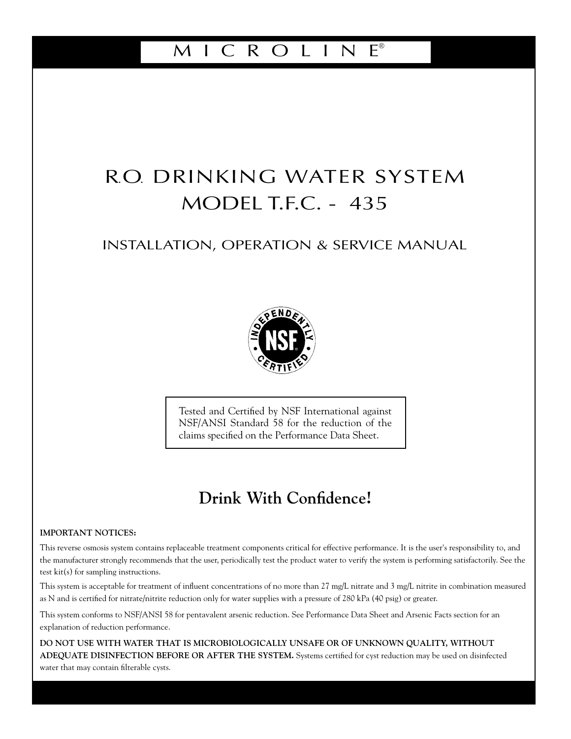# M I C R O L I N E®

# R.O. DRINKING WATER SYSTEM MODEL T.F.C. - 435

## INSTALLATION, OPERATION & SERVICE MANUAL



Tested and Certified by NSF International against NSF/ANSI Standard 58 for the reduction of the claims specified on the Performance Data Sheet.

# **Drink With Confidence!**

#### **IMPORTANT NOTICES:**

This reverse osmosis system contains replaceable treatment components critical for effective performance. It is the user's responsibility to, and the manufacturer strongly recommends that the user, periodically test the product water to verify the system is performing satisfactorily. See the test kit(s) for sampling instructions.

This system is acceptable for treatment of influent concentrations of no more than 27 mg/L nitrate and 3 mg/L nitrite in combination measured as N and is certified for nitrate/nitrite reduction only for water supplies with a pressure of 280 kPa (40 psig) or greater.

This system conforms to NSF/ANSI 58 for pentavalent arsenic reduction. See Performance Data Sheet and Arsenic Facts section for an explanation of reduction performance.

**DO NOT USE WITH WATER THAT IS MICROBIOLOGICALLY UNSAFE OR OF UNKNOWN QUALITY, WITHOUT ADEQUATE DISINFECTION BEFORE OR AFTER THE SYSTEM.** Systems certified for cyst reduction may be used on disinfected water that may contain filterable cysts.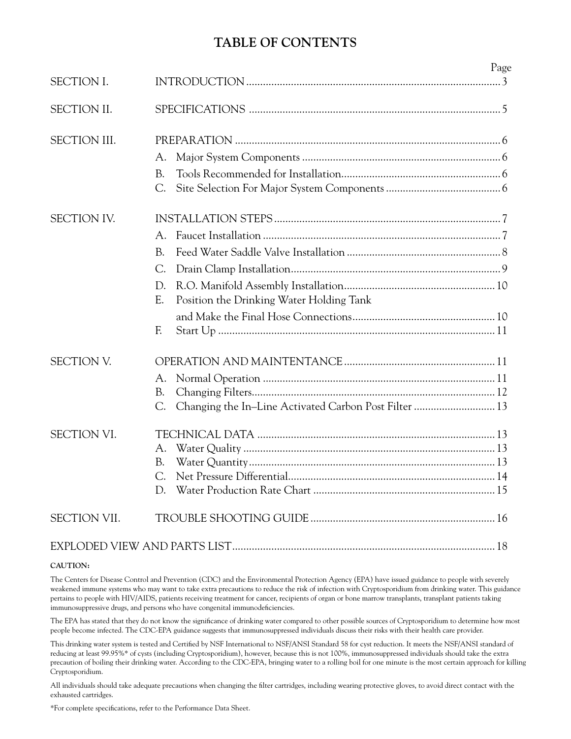# **TABLE OF CONTENTS**

|                     |                                                | Page |
|---------------------|------------------------------------------------|------|
| <b>SECTION I.</b>   |                                                |      |
| SECTION II.         |                                                |      |
| <b>SECTION III.</b> |                                                |      |
|                     | A.                                             |      |
|                     | B.                                             |      |
|                     | С.                                             |      |
| <b>SECTION IV.</b>  |                                                |      |
|                     | А.                                             |      |
|                     | B.                                             |      |
|                     | $C$ .                                          |      |
|                     | D.                                             |      |
|                     | E.<br>Position the Drinking Water Holding Tank |      |
|                     |                                                |      |
|                     | F.                                             |      |
| <b>SECTION V.</b>   |                                                |      |
|                     | A.                                             |      |
|                     | B.                                             |      |
|                     | С.                                             |      |
| <b>SECTION VI.</b>  |                                                |      |
|                     | A.                                             |      |
|                     | B.                                             |      |
|                     | C.                                             |      |
|                     | D.                                             |      |
| <b>SECTION VII.</b> |                                                |      |
|                     |                                                |      |

#### **CAUTION:**

The Centers for Disease Control and Prevention (CDC) and the Environmental Protection Agency (EPA) have issued guidance to people with severely weakened immune systems who may want to take extra precautions to reduce the risk of infection with Cryptosporidium from drinking water. This guidance pertains to people with HIV/AIDS, patients receiving treatment for cancer, recipients of organ or bone marrow transplants, transplant patients taking immunosuppressive drugs, and persons who have congenital immunodeficiencies.

The EPA has stated that they do not know the significance of drinking water compared to other possible sources of Cryptosporidium to determine how most people become infected. The CDC-EPA guidance suggests that immunosuppressed individuals discuss their risks with their health care provider.

This drinking water system is tested and Certified by NSF International to NSF/ANSI Standard 58 for cyst reduction. It meets the NSF/ANSI standard of reducing at least 99.95%\* of cysts (including Cryptosporidium), however, because this is not 100%, immunosuppressed individuals should take the extra precaution of boiling their drinking water. According to the CDC-EPA, bringing water to a rolling boil for one minute is the most certain approach for killing Cryptosporidium.

All individuals should take adequate precautions when changing the filter cartridges, including wearing protective gloves, to avoid direct contact with the exhausted cartridges.

\*For complete specifications, refer to the Performance Data Sheet.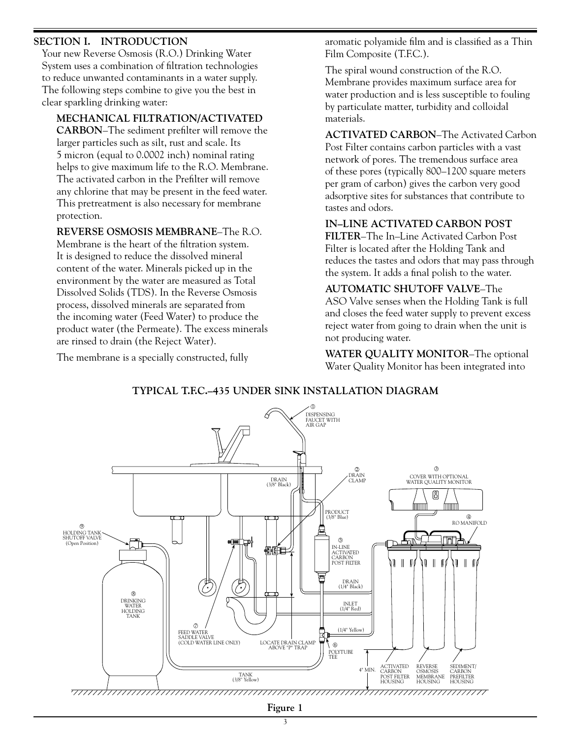## **SECTION I. INTRODUCTION**

 Your new Reverse Osmosis (R.O.) Drinking Water System uses a combination of filtration technologies to reduce unwanted contaminants in a water supply. The following steps combine to give you the best in clear sparkling drinking water:

**MECHANICAL FILTRATION/ACTIVATED** 

**CARBON**–The sediment prefilter will remove the larger particles such as silt, rust and scale. Its 5 micron (equal to 0.0002 inch) nominal rating helps to give maximum life to the R.O. Membrane. The activated carbon in the Prefilter will remove any chlorine that may be present in the feed water. This pretreatment is also necessary for membrane protection.

#### **REVERSE OSMOSIS MEMBRANE**–The R.O.

Membrane is the heart of the filtration system. It is designed to reduce the dissolved mineral content of the water. Minerals picked up in the environment by the water are measured as Total Dissolved Solids (TDS). In the Reverse Osmosis process, dissolved minerals are separated from the incoming water (Feed Water) to produce the product water (the Permeate). The excess minerals are rinsed to drain (the Reject Water).

The membrane is a specially constructed, fully

aromatic polyamide film and is classified as a Thin Film Composite (T.F.C.).

 The spiral wound construction of the R.O. Membrane provides maximum surface area for water production and is less susceptible to fouling by particulate matter, turbidity and colloidal materials.

## **ACTIVATED CARBON**–The Activated Carbon

Post Filter contains carbon particles with a vast network of pores. The tremendous surface area of these pores (typically 800–1200 square meters per gram of carbon) gives the carbon very good adsorptive sites for substances that contribute to tastes and odors.

#### **IN–LINE ACTIVATED CARBON POST**

**FILTER**–The In–Line Activated Carbon Post Filter is located after the Holding Tank and reduces the tastes and odors that may pass through the system. It adds a final polish to the water.

#### **AUTOMATIC SHUTOFF VALVE**–The

ASO Valve senses when the Holding Tank is full and closes the feed water supply to prevent excess reject water from going to drain when the unit is not producing water.

 **WATER QUALITY MONITOR**–The optional Water Quality Monitor has been integrated into



#### **TYPICAL T.F.C.–435 UNDER SINK INSTALLATION DIAGRAM**

**Figure 1**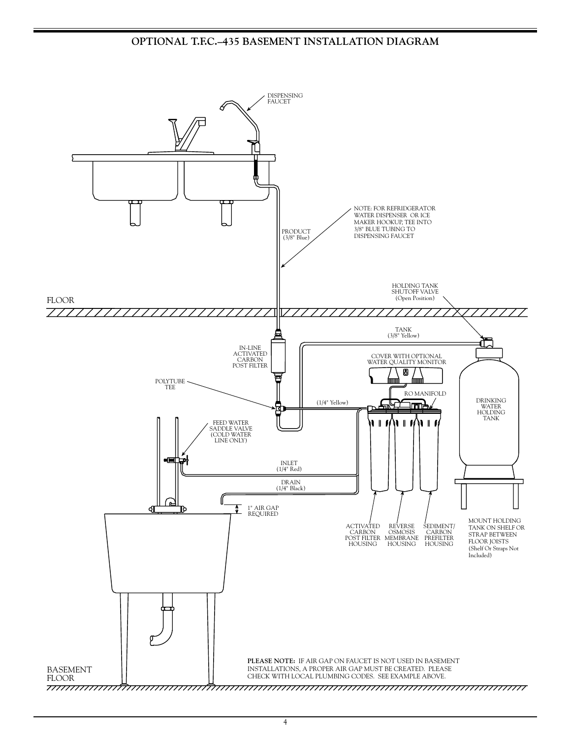## **OPTIONAL T.F.C.–435 BASEMENT INSTALLATION DIAGRAM**



 $\frac{4}{3}$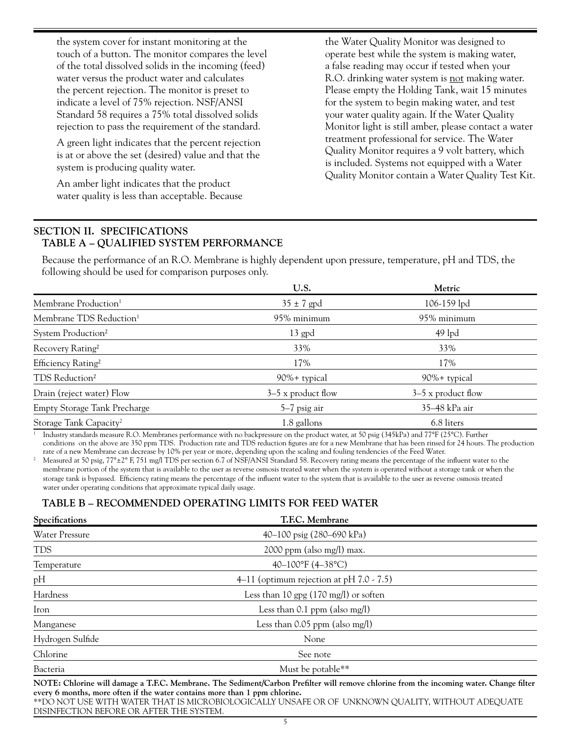the system cover for instant monitoring at the touch of a button. The monitor compares the level of the total dissolved solids in the incoming (feed) water versus the product water and calculates the percent rejection. The monitor is preset to indicate a level of 75% rejection. NSF/ANSI Standard 58 requires a 75% total dissolved solids rejection to pass the requirement of the standard.

 A green light indicates that the percent rejection is at or above the set (desired) value and that the system is producing quality water.

 An amber light indicates that the product water quality is less than acceptable. Because the Water Quality Monitor was designed to operate best while the system is making water, a false reading may occur if tested when your R.O. drinking water system is not making water. Please empty the Holding Tank, wait 15 minutes for the system to begin making water, and test your water quality again. If the Water Quality Monitor light is still amber, please contact a water treatment professional for service. The Water Quality Monitor requires a 9 volt battery, which is included. Systems not equipped with a Water Quality Monitor contain a Water Quality Test Kit.

### **SECTION II. SPECIFICATIONS TABLE A – QUALIFIED SYSTEM PERFORMANCE**

 Because the performance of an R.O. Membrane is highly dependent upon pressure, temperature, pH and TDS, the following should be used for comparison purposes only.

|                                     | U.S.                 | Metric               |  |
|-------------------------------------|----------------------|----------------------|--|
| Membrane Production <sup>1</sup>    | $35 \pm 7$ gpd       | 106-159 lpd          |  |
| Membrane TDS Reduction <sup>1</sup> | 95% minimum          | 95% minimum          |  |
| System Production <sup>2</sup>      | $13$ gpd             | $49$ lpd             |  |
| Recovery Rating <sup>2</sup>        | 33%                  | 33%                  |  |
| Efficiency Rating <sup>2</sup>      | 17%                  | 17%                  |  |
| TDS Reduction <sup>2</sup>          | 90%+ typical         | 90%+ typical         |  |
| Drain (reject water) Flow           | $3-5$ x product flow | $3-5$ x product flow |  |
| <b>Empty Storage Tank Precharge</b> | $5-7$ psig air       | 35-48 kPa air        |  |
| Storage Tank Capacity <sup>2</sup>  | 1.8 gallons          | 6.8 liters           |  |

1 Industry standards measure R.O. Membranes performance with no backpressure on the product water, at 50 psig (345kPa) and 77°F (25°C). Further conditions on the above are 350 ppm TDS. Production rate and TDS reduction figures are for a new Membrane that has been rinsed for 24 hours. The production rate of a new Membrane can decrease by 10% per year or more, depen

Measured at 50 psig, 77°±2° F, 751 mg/l TDS per section 6.7 of NSF/ANSI Standard 58. Recovery rating means the percentage of the influent water to the membrane portion of the system that is available to the user as reverse osmosis treated water when the system is operated without a storage tank or when the storage tank is bypassed. Efficiency rating means the percentage of the influent water to the system that is available to the user as reverse osmosis treated water under operating conditions that approximate typical daily usage.

## **TABLE B – RECOMMENDED OPERATING LIMITS FOR FEED WATER**

| Specifications                   | T.F.C. Membrane                                                                                                                     |  |  |  |  |
|----------------------------------|-------------------------------------------------------------------------------------------------------------------------------------|--|--|--|--|
| <b>Water Pressure</b>            | 40–100 psig (280–690 kPa)                                                                                                           |  |  |  |  |
| <b>TDS</b>                       | $2000$ ppm (also mg/l) max.                                                                                                         |  |  |  |  |
| Temperature                      | 40-100°F (4-38°C)                                                                                                                   |  |  |  |  |
| pH                               | 4–11 (optimum rejection at $pH$ 7.0 - 7.5)                                                                                          |  |  |  |  |
| Hardness                         | Less than 10 gpg $(170 \text{ mg/l})$ or soften                                                                                     |  |  |  |  |
| Iron                             | Less than $0.1$ ppm (also mg/l)                                                                                                     |  |  |  |  |
| Manganese                        | Less than $0.05$ ppm (also mg/l)                                                                                                    |  |  |  |  |
| Hydrogen Sulfide                 | None                                                                                                                                |  |  |  |  |
| Chlorine                         | See note                                                                                                                            |  |  |  |  |
| Bacteria                         | Must be potable**                                                                                                                   |  |  |  |  |
| $MOPF$ $Q11$ $\cdots$<br>$+11$ 1 | $T1 \quad 0 \quad 1$ $1 \quad 1 \quad 1$ $1 \quad 0 \quad 11$<br>$11 \cdot 1$ $1 \cdot 1$ $1 \cdot 1$<br>$\mathcal{L}$ 1.<br>TTO.11 |  |  |  |  |

**NOTE: Chlorine will damage a T.F.C. Membrane. The Sediment/Carbon Prefilter will remove chlorine from the incoming water. Change filter every 6 months, more often if the water contains more than 1 ppm chlorine.** \*\*DO NOT USE WITH WATER THAT IS MICROBIOLOGICALLY UNSAFE OR OF UNKNOWN QUALITY, WITHOUT ADEQUATE DISINFECTION BEFORE OR AFTER THE SYSTEM.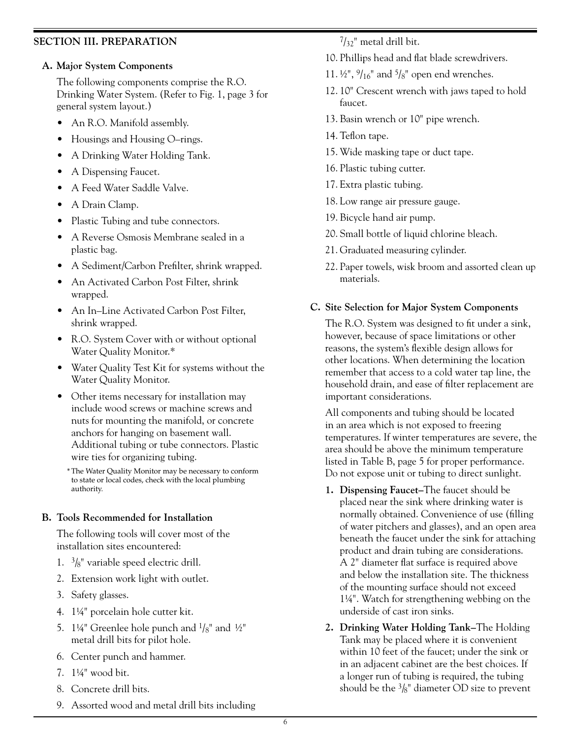## **SECTION III. PREPARATION**

#### **A. Major System Components**

 The following components comprise the R.O. Drinking Water System. (Refer to Fig. 1, page 3 for general system layout.)

- An R.O. Manifold assembly.
- Housings and Housing O–rings.
- A Drinking Water Holding Tank.
- A Dispensing Faucet.
- A Feed Water Saddle Valve.
- A Drain Clamp.
- Plastic Tubing and tube connectors.
- A Reverse Osmosis Membrane sealed in a plastic bag.
- A Sediment/Carbon Prefilter, shrink wrapped.
- An Activated Carbon Post Filter, shrink wrapped.
- An In–Line Activated Carbon Post Filter, shrink wrapped.
- R.O. System Cover with or without optional Water Quality Monitor.\*
- Water Quality Test Kit for systems without the Water Quality Monitor.
- Other items necessary for installation may include wood screws or machine screws and nuts for mounting the manifold, or concrete anchors for hanging on basement wall. Additional tubing or tube connectors. Plastic wire ties for organizing tubing.
	- \* The Water Quality Monitor may be necessary to conform to state or local codes, check with the local plumbing authority.

#### **B. Tools Recommended for Installation**

 The following tools will cover most of the installation sites encountered:

- 1.  $\frac{3}{8}$ " variable speed electric drill.
- 2. Extension work light with outlet.
- 3. Safety glasses.
- 4. 11⁄4" porcelain hole cutter kit.
- 5. 1¼" Greenlee hole punch and  $\frac{1}{8}$ " and ½" metal drill bits for pilot hole.
- 6. Center punch and hammer.
- 7. 11⁄4" wood bit.
- 8. Concrete drill bits.
- 9. Assorted wood and metal drill bits including

 $7/32$ " metal drill bit.

- 10. Phillips head and flat blade screwdrivers.
- 11.  $\frac{1}{2}$ ",  $\frac{9}{16}$ " and  $\frac{5}{8}$ " open end wrenches.
- 12. 10" Crescent wrench with jaws taped to hold faucet.
- 13. Basin wrench or 10" pipe wrench.
- 14. Teflon tape.
- 15. Wide masking tape or duct tape.
- 16. Plastic tubing cutter.
- 17. Extra plastic tubing.
- 18. Low range air pressure gauge.
- 19. Bicycle hand air pump.
- 20. Small bottle of liquid chlorine bleach.
- 21. Graduated measuring cylinder.
- 22. Paper towels, wisk broom and assorted clean up materials.

## **C. Site Selection for Major System Components**

 The R.O. System was designed to fit under a sink, however, because of space limitations or other reasons, the system's flexible design allows for other locations. When determining the location remember that access to a cold water tap line, the household drain, and ease of filter replacement are important considerations.

 All components and tubing should be located in an area which is not exposed to freezing temperatures. If winter temperatures are severe, the area should be above the minimum temperature listed in Table B, page 5 for proper performance. Do not expose unit or tubing to direct sunlight.

- **1. Dispensing Faucet–**The faucet should be placed near the sink where drinking water is normally obtained. Convenience of use (filling of water pitchers and glasses), and an open area beneath the faucet under the sink for attaching product and drain tubing are considerations. A 2" diameter flat surface is required above and below the installation site. The thickness of the mounting surface should not exceed 11⁄4". Watch for strengthening webbing on the underside of cast iron sinks.
- **2. Drinking Water Holding Tank–**The Holding Tank may be placed where it is convenient within 10 feet of the faucet; under the sink or in an adjacent cabinet are the best choices. If a longer run of tubing is required, the tubing should be the  $\frac{3}{8}$ " diameter OD size to prevent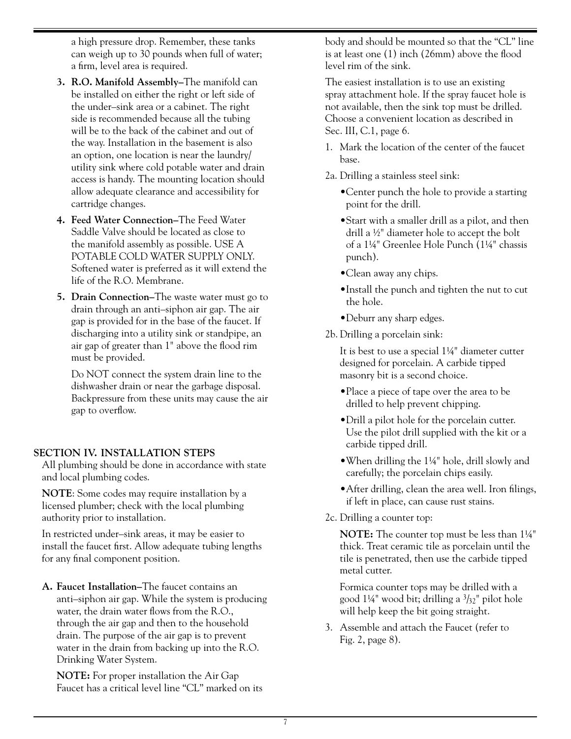a high pressure drop. Remember, these tanks can weigh up to 30 pounds when full of water; a firm, level area is required.

- **3. R.O. Manifold Assembly–**The manifold can be installed on either the right or left side of the under–sink area or a cabinet. The right side is recommended because all the tubing will be to the back of the cabinet and out of the way. Installation in the basement is also an option, one location is near the laundry/ utility sink where cold potable water and drain access is handy. The mounting location should allow adequate clearance and accessibility for cartridge changes.
- **4. Feed Water Connection–**The Feed Water Saddle Valve should be located as close to the manifold assembly as possible. USE A POTABLE COLD WATER SUPPLY ONLY. Softened water is preferred as it will extend the life of the R.O. Membrane.
- **5. Drain Connection–**The waste water must go to drain through an anti–siphon air gap. The air gap is provided for in the base of the faucet. If discharging into a utility sink or standpipe, an air gap of greater than 1" above the flood rim must be provided.

 Do NOT connect the system drain line to the dishwasher drain or near the garbage disposal. Backpressure from these units may cause the air gap to overflow.

#### **SECTION IV. INSTALLATION STEPS**

 All plumbing should be done in accordance with state and local plumbing codes.

 **NOTE**: Some codes may require installation by a licensed plumber; check with the local plumbing authority prior to installation.

 In restricted under–sink areas, it may be easier to install the faucet first. Allow adequate tubing lengths for any final component position.

**A. Faucet Installation–**The faucet contains an anti–siphon air gap. While the system is producing water, the drain water flows from the R.O., through the air gap and then to the household drain. The purpose of the air gap is to prevent water in the drain from backing up into the R.O. Drinking Water System.

 **NOTE:** For proper installation the Air Gap Faucet has a critical level line "CL" marked on its body and should be mounted so that the "CL" line is at least one (1) inch (26mm) above the flood level rim of the sink.

 The easiest installation is to use an existing spray attachment hole. If the spray faucet hole is not available, then the sink top must be drilled. Choose a convenient location as described in Sec. III, C.1, page 6.

- 1. Mark the location of the center of the faucet base.
- 2a. Drilling a stainless steel sink:
	- •Center punch the hole to provide a starting point for the drill.
	- •Start with a smaller drill as a pilot, and then drill a 1⁄2" diameter hole to accept the bolt of a 11⁄4" Greenlee Hole Punch (11⁄4" chassis punch).
	- •Clean away any chips.
	- •Install the punch and tighten the nut to cut the hole.
	- •Deburr any sharp edges.
- 2b. Drilling a porcelain sink:

 It is best to use a special 11⁄4" diameter cutter designed for porcelain. A carbide tipped masonry bit is a second choice.

- •Place a piece of tape over the area to be drilled to help prevent chipping.
- •Drill a pilot hole for the porcelain cutter. Use the pilot drill supplied with the kit or a carbide tipped drill.
- •When drilling the 11⁄4" hole, drill slowly and carefully; the porcelain chips easily.
- After drilling, clean the area well. Iron filings, if left in place, can cause rust stains.
- 2c. Drilling a counter top:

 **NOTE:** The counter top must be less than 11⁄4" thick. Treat ceramic tile as porcelain until the tile is penetrated, then use the carbide tipped metal cutter.

 Formica counter tops may be drilled with a good  $1\frac{1}{4}$ " wood bit; drilling a  $\frac{3}{32}$ " pilot hole will help keep the bit going straight.

3. Assemble and attach the Faucet (refer to Fig. 2, page 8).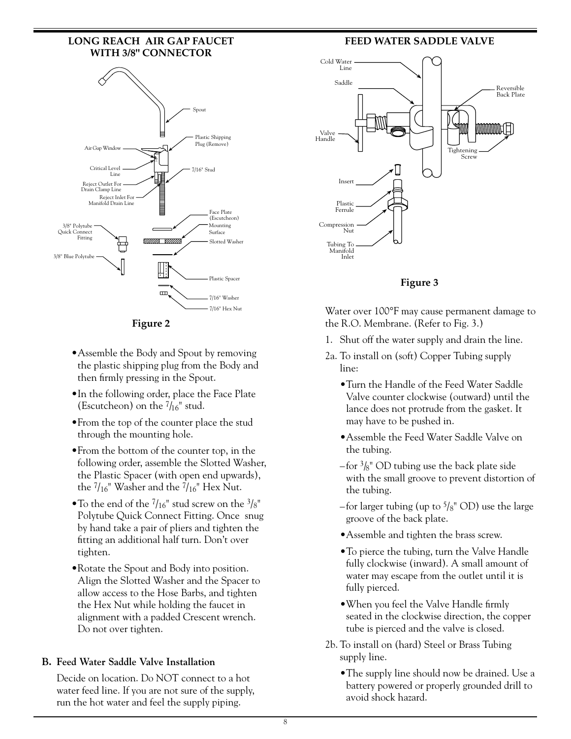#### **LONG REACH AIR GAP FAUCET WITH 3/8" CONNECTOR**



**Figure 2**

- •Assemble the Body and Spout by removing the plastic shipping plug from the Body and then firmly pressing in the Spout.
- •In the following order, place the Face Plate (Escutcheon) on the  $7/16$ " stud.
- •From the top of the counter place the stud through the mounting hole.
- •From the bottom of the counter top, in the following order, assemble the Slotted Washer, the Plastic Spacer (with open end upwards), the  $7/16$ " Washer and the  $7/16$ " Hex Nut.
- To the end of the  $7/16''$  stud screw on the  $3/8''$ Polytube Quick Connect Fitting. Once snug by hand take a pair of pliers and tighten the fitting an additional half turn. Don't over tighten.
- •Rotate the Spout and Body into position. Align the Slotted Washer and the Spacer to allow access to the Hose Barbs, and tighten the Hex Nut while holding the faucet in alignment with a padded Crescent wrench. Do not over tighten.

## **B. Feed Water Saddle Valve Installation**

 Decide on location. Do NOT connect to a hot water feed line. If you are not sure of the supply, run the hot water and feel the supply piping.

## **FEED WATER SADDLE VALVE**



**Figure 3**

Water over 100°F may cause permanent damage to the R.O. Membrane. (Refer to Fig. 3.)

- 1. Shut off the water supply and drain the line.
- 2a. To install on (soft) Copper Tubing supply line:
	- •Turn the Handle of the Feed Water Saddle Valve counter clockwise (outward) until the lance does not protrude from the gasket. It may have to be pushed in.
	- •Assemble the Feed Water Saddle Valve on the tubing.
	- $-$ for  $\frac{3}{8}$ " OD tubing use the back plate side with the small groove to prevent distortion of the tubing.
	- –for larger tubing (up to  $\frac{5}{8}$ " OD) use the large groove of the back plate.
	- •Assemble and tighten the brass screw.
	- •To pierce the tubing, turn the Valve Handle fully clockwise (inward). A small amount of water may escape from the outlet until it is fully pierced.
	- •When you feel the Valve Handle firmly seated in the clockwise direction, the copper tube is pierced and the valve is closed.
- 2b. To install on (hard) Steel or Brass Tubing supply line.
	- •The supply line should now be drained. Use a battery powered or properly grounded drill to avoid shock hazard.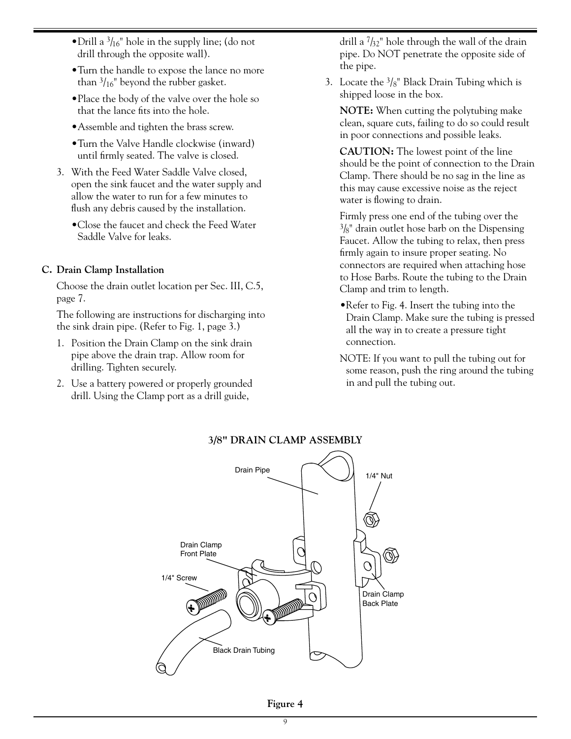- Drill a  $\frac{3}{16}$ " hole in the supply line; (do not drill through the opposite wall).
- •Turn the handle to expose the lance no more than  $\frac{3}{16}$ " beyond the rubber gasket.
- •Place the body of the valve over the hole so that the lance fits into the hole.
- •Assemble and tighten the brass screw.
- •Turn the Valve Handle clockwise (inward) until firmly seated. The valve is closed.
- 3. With the Feed Water Saddle Valve closed, open the sink faucet and the water supply and allow the water to run for a few minutes to flush any debris caused by the installation.
	- •Close the faucet and check the Feed Water Saddle Valve for leaks.

#### **C. Drain Clamp Installation**

 Choose the drain outlet location per Sec. III, C.5, page 7.

 The following are instructions for discharging into the sink drain pipe. (Refer to Fig. 1, page 3.)

- 1. Position the Drain Clamp on the sink drain pipe above the drain trap. Allow room for drilling. Tighten securely.
- 2. Use a battery powered or properly grounded drill. Using the Clamp port as a drill guide,

drill a 7/32" hole through the wall of the drain pipe. Do NOT penetrate the opposite side of the pipe.

3. Locate the  $\frac{3}{8}$ " Black Drain Tubing which is shipped loose in the box.

 **NOTE:** When cutting the polytubing make clean, square cuts, failing to do so could result in poor connections and possible leaks.

 **CAUTION:** The lowest point of the line should be the point of connection to the Drain Clamp. There should be no sag in the line as this may cause excessive noise as the reject water is flowing to drain.

 Firmly press one end of the tubing over the  $3/8$ " drain outlet hose barb on the Dispensing Faucet. Allow the tubing to relax, then press firmly again to insure proper seating. No connectors are required when attaching hose to Hose Barbs. Route the tubing to the Drain Clamp and trim to length.

•Refer to Fig. 4. Insert the tubing into the Drain Clamp. Make sure the tubing is pressed all the way in to create a pressure tight connection.

NOTE: If you want to pull the tubing out for some reason, push the ring around the tubing in and pull the tubing out.



#### **3/8" DRAIN CLAMP ASSEMBLY**

**Figure 4**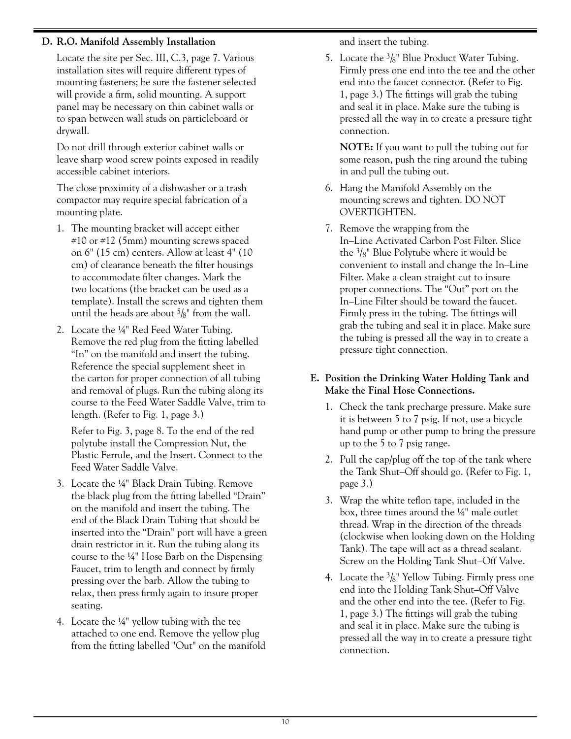## **D. R.O. Manifold Assembly Installation**

 Locate the site per Sec. III, C.3, page 7. Various installation sites will require different types of mounting fasteners; be sure the fastener selected will provide a firm, solid mounting. A support panel may be necessary on thin cabinet walls or to span between wall studs on particleboard or drywall.

 Do not drill through exterior cabinet walls or leave sharp wood screw points exposed in readily accessible cabinet interiors.

 The close proximity of a dishwasher or a trash compactor may require special fabrication of a mounting plate.

- 1. The mounting bracket will accept either #10 or #12 (5mm) mounting screws spaced on 6" (15 cm) centers. Allow at least 4" (10 cm) of clearance beneath the filter housings to accommodate filter changes. Mark the two locations (the bracket can be used as a template). Install the screws and tighten them until the heads are about  $\frac{5}{8}$ " from the wall.
- 2. Locate the 1⁄4" Red Feed Water Tubing. Remove the red plug from the fitting labelled "In" on the manifold and insert the tubing. Reference the special supplement sheet in the carton for proper connection of all tubing and removal of plugs. Run the tubing along its course to the Feed Water Saddle Valve, trim to length. (Refer to Fig. 1, page 3.)

 Refer to Fig. 3, page 8. To the end of the red polytube install the Compression Nut, the Plastic Ferrule, and the Insert. Connect to the Feed Water Saddle Valve.

- 3. Locate the 1⁄4" Black Drain Tubing. Remove the black plug from the fitting labelled "Drain" on the manifold and insert the tubing. The end of the Black Drain Tubing that should be inserted into the "Drain" port will have a green drain restrictor in it. Run the tubing along its course to the 1⁄4" Hose Barb on the Dispensing Faucet, trim to length and connect by firmly pressing over the barb. Allow the tubing to relax, then press firmly again to insure proper seating.
- 4. Locate the 1⁄4" yellow tubing with the tee attached to one end. Remove the yellow plug from the fitting labelled "Out" on the manifold

and insert the tubing.

5. Locate the  $\frac{3}{8}$ " Blue Product Water Tubing. Firmly press one end into the tee and the other end into the faucet connector. (Refer to Fig. 1, page 3.) The fittings will grab the tubing and seal it in place. Make sure the tubing is pressed all the way in to create a pressure tight connection.

 **NOTE:** If you want to pull the tubing out for some reason, push the ring around the tubing in and pull the tubing out.

- 6. Hang the Manifold Assembly on the mounting screws and tighten. DO NOT OVERTIGHTEN.
- 7. Remove the wrapping from the In–Line Activated Carbon Post Filter. Slice the  $\frac{3}{8}$ " Blue Polytube where it would be convenient to install and change the In–Line Filter. Make a clean straight cut to insure proper connections. The "Out" port on the In–Line Filter should be toward the faucet. Firmly press in the tubing. The fittings will grab the tubing and seal it in place. Make sure the tubing is pressed all the way in to create a pressure tight connection.

## **E. Position the Drinking Water Holding Tank and Make the Final Hose Connections.**

- 1. Check the tank precharge pressure. Make sure it is between 5 to 7 psig. If not, use a bicycle hand pump or other pump to bring the pressure up to the 5 to 7 psig range.
- 2. Pull the cap/plug off the top of the tank where the Tank Shut–Off should go. (Refer to Fig. 1, page 3.)
- 3. Wrap the white teflon tape, included in the box, three times around the 1⁄4" male outlet thread. Wrap in the direction of the threads (clockwise when looking down on the Holding Tank). The tape will act as a thread sealant. Screw on the Holding Tank Shut–Off Valve.
- 4. Locate the  $\frac{3}{8}$ " Yellow Tubing. Firmly press one end into the Holding Tank Shut–Off Valve and the other end into the tee. (Refer to Fig. 1, page 3.) The fittings will grab the tubing and seal it in place. Make sure the tubing is pressed all the way in to create a pressure tight connection.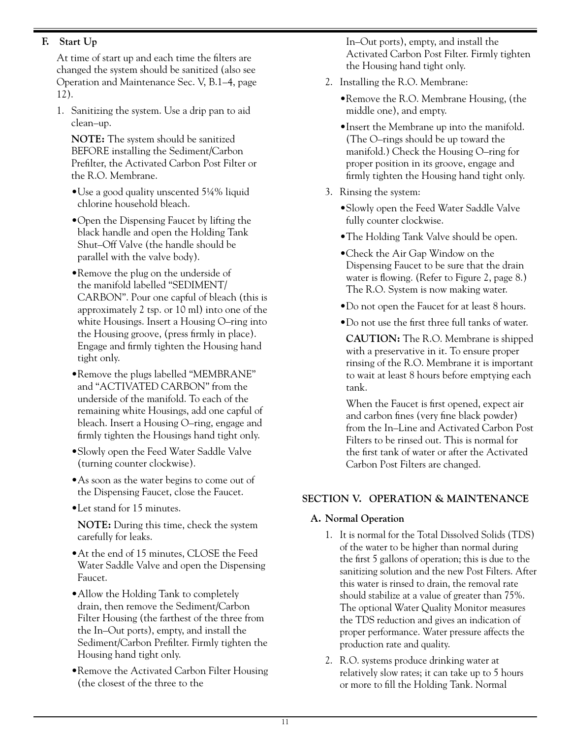## **F. Start Up**

 At time of start up and each time the filters are changed the system should be sanitized (also see Operation and Maintenance Sec. V, B.1–4, page 12).

1. Sanitizing the system. Use a drip pan to aid clean–up.

 **NOTE:** The system should be sanitized BEFORE installing the Sediment/Carbon Prefilter, the Activated Carbon Post Filter or the R.O. Membrane.

- •Use a good quality unscented 5¼% liquid chlorine household bleach.
- •Open the Dispensing Faucet by lifting the black handle and open the Holding Tank Shut–Off Valve (the handle should be parallel with the valve body).
- •Remove the plug on the underside of the manifold labelled "SEDIMENT/ CARBON". Pour one capful of bleach (this is approximately 2 tsp. or 10 ml) into one of the white Housings. Insert a Housing O–ring into the Housing groove, (press firmly in place). Engage and firmly tighten the Housing hand tight only.
- •Remove the plugs labelled "MEMBRANE" and "ACTIVATED CARBON" from the underside of the manifold. To each of the remaining white Housings, add one capful of bleach. Insert a Housing O–ring, engage and firmly tighten the Housings hand tight only.
- •Slowly open the Feed Water Saddle Valve (turning counter clockwise).
- As soon as the water begins to come out of the Dispensing Faucet, close the Faucet.
- •Let stand for 15 minutes.

 **NOTE:** During this time, check the system carefully for leaks.

- •At the end of 15 minutes, CLOSE the Feed Water Saddle Valve and open the Dispensing Faucet.
- Allow the Holding Tank to completely drain, then remove the Sediment/Carbon Filter Housing (the farthest of the three from the In–Out ports), empty, and install the Sediment/Carbon Prefilter. Firmly tighten the Housing hand tight only.
- •Remove the Activated Carbon Filter Housing (the closest of the three to the

In–Out ports), empty, and install the Activated Carbon Post Filter. Firmly tighten the Housing hand tight only.

- 2. Installing the R.O. Membrane:
	- •Remove the R.O. Membrane Housing, (the middle one), and empty.
	- •Insert the Membrane up into the manifold. (The O–rings should be up toward the manifold.) Check the Housing O–ring for proper position in its groove, engage and firmly tighten the Housing hand tight only.
- 3. Rinsing the system:
	- •Slowly open the Feed Water Saddle Valve fully counter clockwise.
	- •The Holding Tank Valve should be open.
	- •Check the Air Gap Window on the Dispensing Faucet to be sure that the drain water is flowing. (Refer to Figure 2, page 8.) The R.O. System is now making water.
	- •Do not open the Faucet for at least 8 hours.
	- •Do not use the first three full tanks of water.

 **CAUTION:** The R.O. Membrane is shipped with a preservative in it. To ensure proper rinsing of the R.O. Membrane it is important to wait at least 8 hours before emptying each tank.

 When the Faucet is first opened, expect air and carbon fines (very fine black powder) from the In–Line and Activated Carbon Post Filters to be rinsed out. This is normal for the first tank of water or after the Activated Carbon Post Filters are changed.

## **SECTION V. OPERATION & MAINTENANCE**

## **A. Normal Operation**

- 1. It is normal for the Total Dissolved Solids (TDS) of the water to be higher than normal during the first 5 gallons of operation; this is due to the sanitizing solution and the new Post Filters. After this water is rinsed to drain, the removal rate should stabilize at a value of greater than 75%. The optional Water Quality Monitor measures the TDS reduction and gives an indication of proper performance. Water pressure affects the production rate and quality.
- 2. R.O. systems produce drinking water at relatively slow rates; it can take up to 5 hours or more to fill the Holding Tank. Normal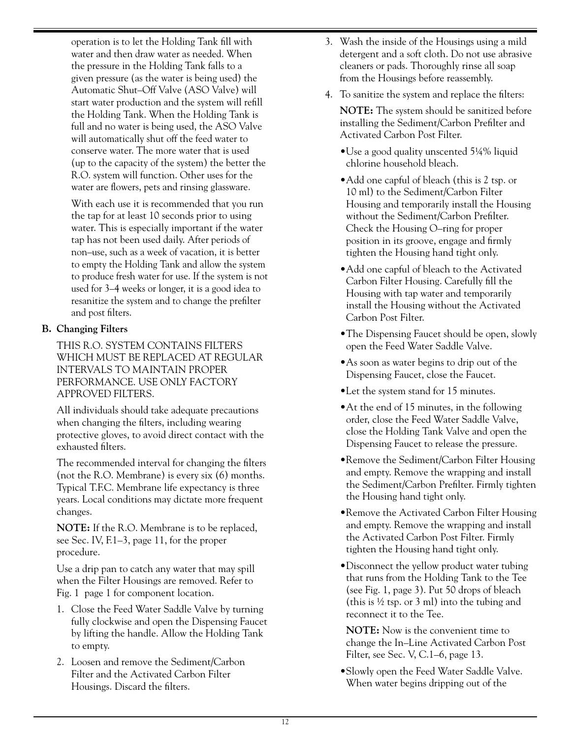operation is to let the Holding Tank fill with water and then draw water as needed. When the pressure in the Holding Tank falls to a given pressure (as the water is being used) the Automatic Shut–Off Valve (ASO Valve) will start water production and the system will refill the Holding Tank. When the Holding Tank is full and no water is being used, the ASO Valve will automatically shut off the feed water to conserve water. The more water that is used (up to the capacity of the system) the better the R.O. system will function. Other uses for the water are flowers, pets and rinsing glassware.

 With each use it is recommended that you run the tap for at least 10 seconds prior to using water. This is especially important if the water tap has not been used daily. After periods of non–use, such as a week of vacation, it is better to empty the Holding Tank and allow the system to produce fresh water for use. If the system is not used for 3–4 weeks or longer, it is a good idea to resanitize the system and to change the prefilter and post filters.

## **B. Changing Filters**

 THIS R.O. SYSTEM CONTAINS FILTERS WHICH MUST BE REPLACED AT REGULAR INTERVALS TO MAINTAIN PROPER PERFORMANCE. USE ONLY FACTORY APPROVED FILTERS.

 All individuals should take adequate precautions when changing the filters, including wearing protective gloves, to avoid direct contact with the exhausted filters.

The recommended interval for changing the filters (not the R.O. Membrane) is every six (6) months. Typical T.F.C. Membrane life expectancy is three years. Local conditions may dictate more frequent changes.

 **NOTE:** If the R.O. Membrane is to be replaced, see Sec. IV, F.1–3, page 11, for the proper procedure.

 Use a drip pan to catch any water that may spill when the Filter Housings are removed. Refer to Fig. 1 page 1 for component location.

- 1. Close the Feed Water Saddle Valve by turning fully clockwise and open the Dispensing Faucet by lifting the handle. Allow the Holding Tank to empty.
- 2. Loosen and remove the Sediment/Carbon Filter and the Activated Carbon Filter Housings. Discard the filters.
- 3. Wash the inside of the Housings using a mild detergent and a soft cloth. Do not use abrasive cleaners or pads. Thoroughly rinse all soap from the Housings before reassembly.
- 4. To sanitize the system and replace the filters:
	- **NOTE:** The system should be sanitized before installing the Sediment/Carbon Prefilter and Activated Carbon Post Filter.
	- •Use a good quality unscented 5¼% liquid chlorine household bleach.
	- Add one capful of bleach (this is 2 tsp. or 10 ml) to the Sediment/Carbon Filter Housing and temporarily install the Housing without the Sediment/Carbon Prefilter. Check the Housing O–ring for proper position in its groove, engage and firmly tighten the Housing hand tight only.
	- •Add one capful of bleach to the Activated Carbon Filter Housing. Carefully fill the Housing with tap water and temporarily install the Housing without the Activated Carbon Post Filter.
	- •The Dispensing Faucet should be open, slowly open the Feed Water Saddle Valve.
	- •As soon as water begins to drip out of the Dispensing Faucet, close the Faucet.
	- •Let the system stand for 15 minutes.
	- •At the end of 15 minutes, in the following order, close the Feed Water Saddle Valve, close the Holding Tank Valve and open the Dispensing Faucet to release the pressure.
	- •Remove the Sediment/Carbon Filter Housing and empty. Remove the wrapping and install the Sediment/Carbon Prefilter. Firmly tighten the Housing hand tight only.
	- •Remove the Activated Carbon Filter Housing and empty. Remove the wrapping and install the Activated Carbon Post Filter. Firmly tighten the Housing hand tight only.
	- •Disconnect the yellow product water tubing that runs from the Holding Tank to the Tee (see Fig. 1, page 3). Put 50 drops of bleach (this is  $\frac{1}{2}$  tsp. or 3 ml) into the tubing and reconnect it to the Tee.

 **NOTE:** Now is the convenient time to change the In–Line Activated Carbon Post Filter, see Sec. V, C.1–6, page 13.

•Slowly open the Feed Water Saddle Valve. When water begins dripping out of the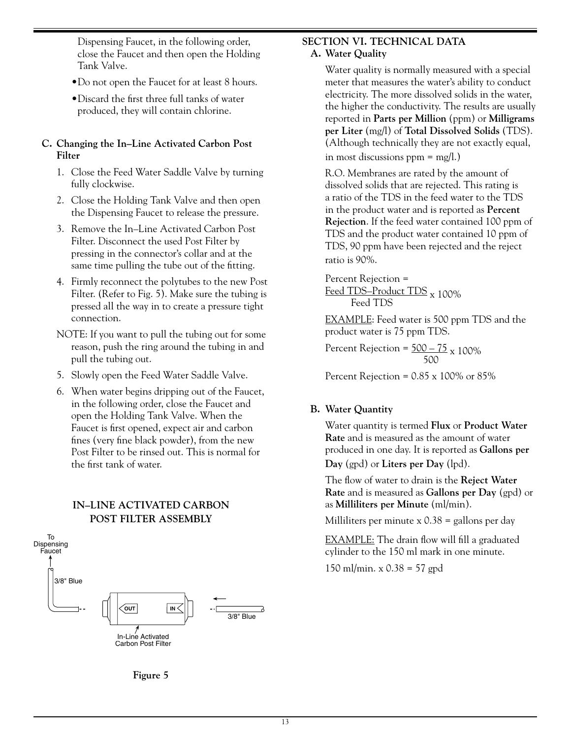Dispensing Faucet, in the following order, close the Faucet and then open the Holding Tank Valve.

- •Do not open the Faucet for at least 8 hours.
- •Discard the first three full tanks of water produced, they will contain chlorine.

#### **C. Changing the In–Line Activated Carbon Post Filter**

- 1. Close the Feed Water Saddle Valve by turning fully clockwise.
- 2. Close the Holding Tank Valve and then open the Dispensing Faucet to release the pressure.
- 3. Remove the In–Line Activated Carbon Post Filter. Disconnect the used Post Filter by pressing in the connector's collar and at the same time pulling the tube out of the fitting.
- 4. Firmly reconnect the polytubes to the new Post Filter. (Refer to Fig. 5). Make sure the tubing is pressed all the way in to create a pressure tight connection.
- NOTE: If you want to pull the tubing out for some reason, push the ring around the tubing in and pull the tubing out.
- 5. Slowly open the Feed Water Saddle Valve.
- 6. When water begins dripping out of the Faucet, in the following order, close the Faucet and open the Holding Tank Valve. When the Faucet is first opened, expect air and carbon fines (very fine black powder), from the new Post Filter to be rinsed out. This is normal for the first tank of water.

## **IN–LINE ACTIVATED CARBON POST FILTER ASSEMBLY**



#### **SECTION VI. TECHNICAL DATA A. Water Quality**

 Water quality is normally measured with a special meter that measures the water's ability to conduct electricity. The more dissolved solids in the water, the higher the conductivity. The results are usually reported in **Parts per Million** (ppm) or **Milligrams per Liter** (mg/l) of **Total Dissolved Solids** (TDS). (Although technically they are not exactly equal, in most discussions  $ppm = mg/l.$ )

 R.O. Membranes are rated by the amount of dissolved solids that are rejected. This rating is a ratio of the TDS in the feed water to the TDS in the product water and is reported as **Percent Rejection**. If the feed water contained 100 ppm of TDS and the product water contained 10 ppm of TDS, 90 ppm have been rejected and the reject ratio is 90%.

Percent Rejection =

Feed TDS–Product TDS  $_{\text{X}}$  100% Feed TDS

 EXAMPLE: Feed water is 500 ppm TDS and the product water is 75 ppm TDS.

Percent Rejection =  $\frac{500-75}{500}$  x 100%

Percent Rejection =  $0.85 \times 100\%$  or 85%

#### **B. Water Quantity**

 Water quantity is termed **Flux** or **Product Water Rate** and is measured as the amount of water produced in one day. It is reported as **Gallons per Day** (gpd) or **Liters per Day** (lpd).

 The flow of water to drain is the **Reject Water Rate** and is measured as **Gallons per Day** (gpd) or as **Milliliters per Minute** (ml/min).

Milliliters per minute  $x 0.38$  = gallons per day

 EXAMPLE: The drain flow will fill a graduated cylinder to the 150 ml mark in one minute.

150 ml/min. x 0.38 = 57 gpd

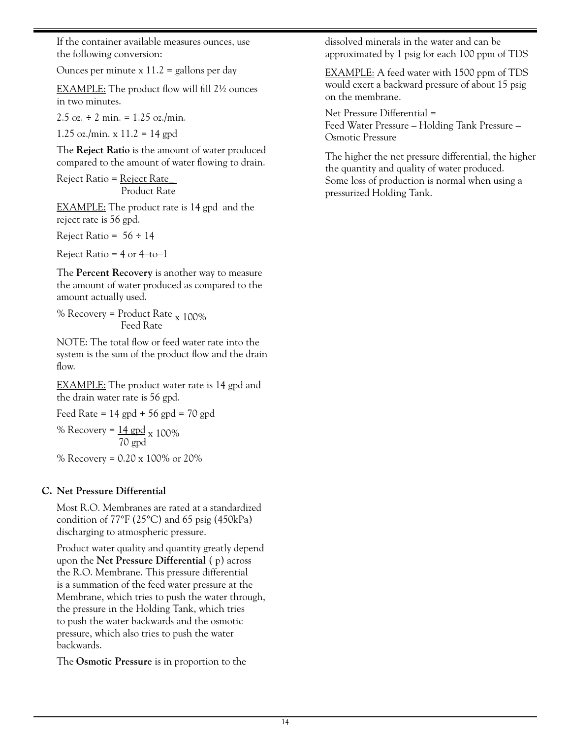If the container available measures ounces, use the following conversion:

Ounces per minute  $x 11.2$  = gallons per day

EXAMPLE: The product flow will fill 2<sup>1</sup>/2 ounces in two minutes.

2.5 oz.  $\div$  2 min. = 1.25 oz./min.

1.25 oz./min. x  $11.2 = 14$  gpd

 The **Reject Ratio** is the amount of water produced compared to the amount of water flowing to drain.

 Reject Ratio = Reject Rate\_ Product Rate

EXAMPLE: The product rate is 14 gpd and the reject rate is 56 gpd.

Reject Ratio =  $56 \div 14$ 

Reject Ratio =  $4$  or  $4$ –to–1

 The **Percent Recovery** is another way to measure the amount of water produced as compared to the amount actually used.

%  $\%$  Recovery =  $\frac{Product Rate}{Red Rate}$  x 100%

 NOTE: The total flow or feed water rate into the system is the sum of the product flow and the drain flow.

**EXAMPLE:** The product water rate is 14 gpd and the drain water rate is 56 gpd.

```
Feed Rate = 14 gpd + 56 gpd = 70 gpd
```
% Recovery =  $\frac{14 \text{ gpd}}{70 \text{ gpd}}$  x 100%

% Recovery = 0.20 x 100% or 20%

#### **C. Net Pressure Differential**

 Most R.O. Membranes are rated at a standardized condition of 77°F (25°C) and 65 psig (450kPa) discharging to atmospheric pressure.

 Product water quality and quantity greatly depend upon the **Net Pressure Differential** ( p) across the R.O. Membrane. This pressure differential is a summation of the feed water pressure at the Membrane, which tries to push the water through, the pressure in the Holding Tank, which tries to push the water backwards and the osmotic pressure, which also tries to push the water backwards.

The **Osmotic Pressure** is in proportion to the

dissolved minerals in the water and can be approximated by 1 psig for each 100 ppm of TDS

 EXAMPLE: A feed water with 1500 ppm of TDS would exert a backward pressure of about 15 psig on the membrane.

 Net Pressure Differential = Feed Water Pressure – Holding Tank Pressure – Osmotic Pressure

 The higher the net pressure differential, the higher the quantity and quality of water produced. Some loss of production is normal when using a pressurized Holding Tank.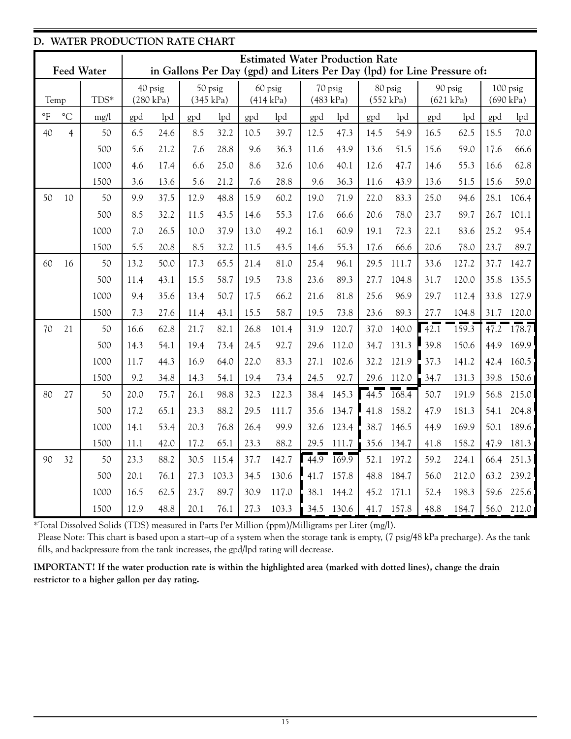|                          | D. WATER PRODUCTION RATE CHART                                                                                                         |      |      |           |      |           |      |                      |                   |           |         |                      |         |           |                   |           |
|--------------------------|----------------------------------------------------------------------------------------------------------------------------------------|------|------|-----------|------|-----------|------|----------------------|-------------------|-----------|---------|----------------------|---------|-----------|-------------------|-----------|
|                          | <b>Estimated Water Production Rate</b><br><b>Feed Water</b><br>in Gallons Per Day (gpd) and Liters Per Day (lpd) for Line Pressure of: |      |      |           |      |           |      |                      |                   |           |         |                      |         |           |                   |           |
|                          |                                                                                                                                        |      |      | 40 psig   |      | 50 psig   |      |                      |                   | 70 psig   |         |                      |         | 90 psig   |                   | 100 psig  |
| Temp                     |                                                                                                                                        | TDS* |      | (280 kPa) |      | (345 kPa) |      | 60 psig<br>(414 kPa) |                   | (483 kPa) |         | 80 psig<br>(552 kPa) |         | (621 kPa) |                   | (690 kPa) |
| $\,{}^{\circ}\mathrm{F}$ | $\rm ^{\circ}C$                                                                                                                        | mg/l | gpd  | lpd       | gpd  | lpd       | gpd  | lpd                  | gpd               | lpd       | gpd     | lpd                  | gpd     | lpd       | gpd               | lpd       |
| 40                       | $\overline{4}$                                                                                                                         | 50   | 6.5  | 24.6      | 8.5  | 32.2      | 10.5 | 39.7                 | 12.5              | 47.3      | 14.5    | 54.9                 | 16.5    | 62.5      | 18.5              | 70.0      |
|                          |                                                                                                                                        | 500  | 5.6  | 21.2      | 7.6  | 28.8      | 9.6  | 36.3                 | 11.6              | 43.9      | 13.6    | 51.5                 | 15.6    | 59.0      | 17.6              | 66.6      |
|                          |                                                                                                                                        | 1000 | 4.6  | 17.4      | 6.6  | 25.0      | 8.6  | 32.6                 | 10.6              | 40.1      | 12.6    | 47.7                 | 14.6    | 55.3      | 16.6              | 62.8      |
|                          |                                                                                                                                        | 1500 | 3.6  | 13.6      | 5.6  | 21.2      | 7.6  | 28.8                 | 9.6               | 36.3      | 11.6    | 43.9                 | 13.6    | 51.5      | 15.6              | 59.0      |
| 50                       | 10                                                                                                                                     | 50   | 9.9  | 37.5      | 12.9 | 48.8      | 15.9 | 60.2                 | 19.0              | 71.9      | 22.0    | 83.3                 | 25.0    | 94.6      | 28.1              | 106.4     |
|                          |                                                                                                                                        | 500  | 8.5  | 32.2      | 11.5 | 43.5      | 14.6 | 55.3                 | 17.6              | 66.6      | 20.6    | 78.0                 | 23.7    | 89.7      | 26.7              | 101.1     |
|                          |                                                                                                                                        | 1000 | 7.0  | 26.5      | 10.0 | 37.9      | 13.0 | 49.2                 | 16.1              | 60.9      | 19.1    | 72.3                 | 22.1    | 83.6      | 25.2              | 95.4      |
|                          |                                                                                                                                        | 1500 | 5.5  | 20.8      | 8.5  | 32.2      | 11.5 | 43.5                 | 14.6              | 55.3      | 17.6    | 66.6                 | 20.6    | 78.0      | 23.7              | 89.7      |
| 60                       | 16                                                                                                                                     | 50   | 13.2 | 50.0      | 17.3 | 65.5      | 21.4 | 81.0                 | 25.4              | 96.1      | 29.5    | 111.7                | 33.6    | 127.2     | 37.7              | 142.7     |
|                          |                                                                                                                                        | 500  | 11.4 | 43.1      | 15.5 | 58.7      | 19.5 | 73.8                 | 23.6              | 89.3      | 27.7    | 104.8                | 31.7    | 120.0     | 35.8              | 135.5     |
|                          |                                                                                                                                        | 1000 | 9.4  | 35.6      | 13.4 | 50.7      | 17.5 | 66.2                 | 21.6              | 81.8      | 25.6    | 96.9                 | 29.7    | 112.4     | 33.8              | 127.9     |
|                          |                                                                                                                                        | 1500 | 7.3  | 27.6      | 11.4 | 43.1      | 15.5 | 58.7                 | 19.5              | 73.8      | 23.6    | 89.3                 | 27.7    | 104.8     | 31.7              | 120.0     |
| 70                       | 21                                                                                                                                     | 50   | 16.6 | 62.8      | 21.7 | 82.1      | 26.8 | 101.4                | 31.9              | 120.7     | 37.0    | 140.0                | $-42.1$ | 159.3     | $\overline{47.2}$ | $-178.7$  |
|                          |                                                                                                                                        | 500  | 14.3 | 54.1      | 19.4 | 73.4      | 24.5 | 92.7                 | 29.6              | 112.0     | 34.7    | 131.3                | 39.8    | 150.6     | 44.9              | 169.9     |
|                          |                                                                                                                                        | 1000 | 11.7 | 44.3      | 16.9 | 64.0      | 22.0 | 83.3                 | 27.1              | 102.6     | 32.2    | 121.9                | 37.3    | 141.2     | 42.4              | 160.5     |
|                          |                                                                                                                                        | 1500 | 9.2  | 34.8      | 14.3 | 54.1      | 19.4 | 73.4                 | 24.5              | 92.7      | 29.6    | 112.0                | 34.7    | 131.3     | 39.8              | 150.6     |
| 80                       | 27                                                                                                                                     | 50   | 20.0 | 75.7      | 26.1 | 98.8      | 32.3 | 122.3                | 38.4              | 145.3     | $-44.5$ | 168.4                | 50.7    | 191.9     | 56.8              | 215.0     |
|                          |                                                                                                                                        | 500  | 17.2 | 65.1      | 23.3 | 88.2      | 29.5 | 111.7                | 35.6              | 134.7     | 41.8    | 158.2                | 47.9    | 181.3     | 54.1              | 204.8     |
|                          |                                                                                                                                        | 1000 | 14.1 | 53.4      | 20.3 | 76.8      | 26.4 | 99.9                 | 32.6              | 123.4     | 38.7    | 146.5                | 44.9    | 169.9     | 50.1              | 189.6     |
|                          |                                                                                                                                        | 1500 | 11.1 | 42.0      | 17.2 | 65.1      | 23.3 | 88.2                 | 29.5              | 111.7     | 35.6    | 134.7                | 41.8    | 158.2     | 47.9              | 181.3     |
| 90                       | 32                                                                                                                                     | 50   | 23.3 | 88.2      | 30.5 | 115.4     | 37.7 | 142.7                | $\overline{44.9}$ | 169.9     | 52.1    | 197.2                | 59.2    | 224.1     | 66.4              | 251.3     |
|                          |                                                                                                                                        | 500  | 20.1 | 76.1      | 27.3 | 103.3     | 34.5 | 130.6                | 41.7              | 157.8     | 48.8    | 184.7                | 56.0    | 212.0     | 63.2              | 239.2     |
|                          |                                                                                                                                        | 1000 | 16.5 | 62.5      | 23.7 | 89.7      | 30.9 | 117.0                | 38.1              | 144.2     | 45.2    | 171.1                | 52.4    | 198.3     | 59.6              | 225.6     |
|                          |                                                                                                                                        | 1500 | 12.9 | 48.8      | 20.1 | 76.1      | 27.3 | 103.3                | 34.5              | 130.6     |         | 41.7 157.8           | 48.8    | 184.7     | 56.0              | 212.0     |

\*Total Dissolved Solids (TDS) measured in Parts Per Million (ppm)/Milligrams per Liter (mg/l).

Please Note: This chart is based upon a start–up of a system when the storage tank is empty, (7 psig/48 kPa precharge). As the tank fills, and backpressure from the tank increases, the gpd/lpd rating will decrease.

**IMPORTANT! If the water production rate is within the highlighted area (marked with dotted lines), change the drain restrictor to a higher gallon per day rating.**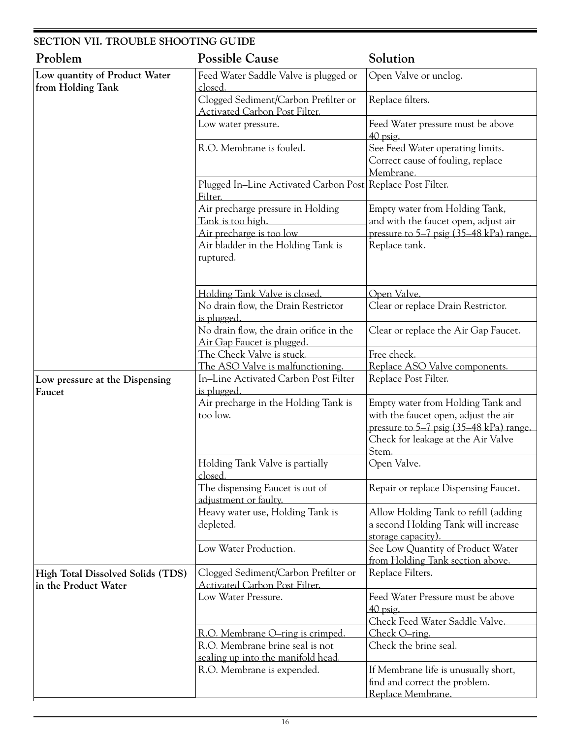| <b>SECTION VII. TROUBLE SHOOTING GUIDE</b>                |                                                                                    |                                                                                                                      |  |  |  |  |
|-----------------------------------------------------------|------------------------------------------------------------------------------------|----------------------------------------------------------------------------------------------------------------------|--|--|--|--|
| Problem                                                   | <b>Possible Cause</b>                                                              | Solution                                                                                                             |  |  |  |  |
| Low quantity of Product Water<br>from Holding Tank        | Feed Water Saddle Valve is plugged or<br><u>closed.</u>                            | Open Valve or unclog.                                                                                                |  |  |  |  |
|                                                           | Clogged Sediment/Carbon Prefilter or<br>Activated Carbon Post Filter.              | Replace filters.                                                                                                     |  |  |  |  |
|                                                           | Low water pressure.                                                                | Feed Water pressure must be above<br>$40$ psig.                                                                      |  |  |  |  |
|                                                           | R.O. Membrane is fouled.                                                           | See Feed Water operating limits.<br>Correct cause of fouling, replace<br>Membrane.                                   |  |  |  |  |
|                                                           | Plugged In-Line Activated Carbon Post Replace Post Filter.<br>Filter.              |                                                                                                                      |  |  |  |  |
|                                                           | Air precharge pressure in Holding<br>Tank is too high.<br>Air precharge is too low | Empty water from Holding Tank,<br>and with the faucet open, adjust air<br>pressure to 5–7 psig (35–48 kPa) range.    |  |  |  |  |
|                                                           | Air bladder in the Holding Tank is<br>ruptured.                                    | Replace tank.                                                                                                        |  |  |  |  |
|                                                           | Holding Tank Valve is closed.                                                      | Open Valve.                                                                                                          |  |  |  |  |
|                                                           | No drain flow, the Drain Restrictor<br>is plugged.                                 | Clear or replace Drain Restrictor.                                                                                   |  |  |  |  |
|                                                           | No drain flow, the drain orifice in the<br>Air Gap Faucet is plugged.              | Clear or replace the Air Gap Faucet.                                                                                 |  |  |  |  |
|                                                           | The Check Valve is stuck.                                                          | Free check.                                                                                                          |  |  |  |  |
|                                                           | The ASO Valve is malfunctioning.                                                   | Replace ASO Valve components.                                                                                        |  |  |  |  |
| Low pressure at the Dispensing<br>Faucet                  | In-Line Activated Carbon Post Filter<br>is plugged.                                | Replace Post Filter.                                                                                                 |  |  |  |  |
|                                                           | Air precharge in the Holding Tank is<br>too low.                                   | Empty water from Holding Tank and<br>with the faucet open, adjust the air<br>pressure to 5–7 psig (35–48 kPa) range. |  |  |  |  |
|                                                           |                                                                                    | Check for leakage at the Air Valve<br>Stem.                                                                          |  |  |  |  |
|                                                           | Holding Tank Valve is partially<br><u>closed.</u>                                  | Open Valve.                                                                                                          |  |  |  |  |
|                                                           | The dispensing Faucet is out of<br>adjustment or faulty.                           | Repair or replace Dispensing Faucet.                                                                                 |  |  |  |  |
|                                                           | Heavy water use, Holding Tank is<br>depleted.                                      | Allow Holding Tank to refill (adding<br>a second Holding Tank will increase<br>storage capacity).                    |  |  |  |  |
|                                                           | Low Water Production.                                                              | See Low Quantity of Product Water<br>from Holding Tank section above.                                                |  |  |  |  |
| High Total Dissolved Solids (TDS)<br>in the Product Water | Clogged Sediment/Carbon Prefilter or<br><b>Activated Carbon Post Filter.</b>       | Replace Filters.                                                                                                     |  |  |  |  |
|                                                           | Low Water Pressure.                                                                | Feed Water Pressure must be above<br>40 psig.                                                                        |  |  |  |  |
|                                                           |                                                                                    | Check Feed Water Saddle Valve.                                                                                       |  |  |  |  |
|                                                           | R.O. Membrane O-ring is crimped.<br>R.O. Membrane brine seal is not                | Check O-ring.<br>Check the brine seal.                                                                               |  |  |  |  |
|                                                           | sealing up into the manifold head<br>R.O. Membrane is expended.                    | If Membrane life is unusually short,<br>find and correct the problem.<br>Replace Membrane.                           |  |  |  |  |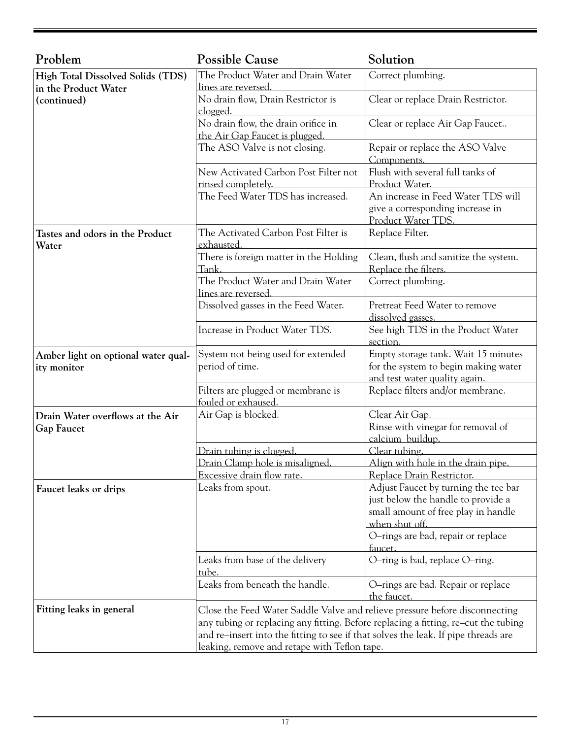| Problem                                                   | <b>Possible Cause</b>                                                                                                                                                                                                                                                                                   | Solution                                                                                                                            |  |  |
|-----------------------------------------------------------|---------------------------------------------------------------------------------------------------------------------------------------------------------------------------------------------------------------------------------------------------------------------------------------------------------|-------------------------------------------------------------------------------------------------------------------------------------|--|--|
| High Total Dissolved Solids (TDS)<br>in the Product Water | The Product Water and Drain Water<br>lines are reversed.                                                                                                                                                                                                                                                | Correct plumbing.                                                                                                                   |  |  |
| (continued)                                               | No drain flow, Drain Restrictor is<br>clogged.                                                                                                                                                                                                                                                          | Clear or replace Drain Restrictor.                                                                                                  |  |  |
|                                                           | No drain flow, the drain orifice in<br>the Air Gap Faucet is plugged.                                                                                                                                                                                                                                   | Clear or replace Air Gap Faucet                                                                                                     |  |  |
|                                                           | The ASO Valve is not closing.                                                                                                                                                                                                                                                                           | Repair or replace the ASO Valve<br>Components.                                                                                      |  |  |
|                                                           | New Activated Carbon Post Filter not<br>rinsed completely.                                                                                                                                                                                                                                              | Flush with several full tanks of<br>Product Water.                                                                                  |  |  |
|                                                           | The Feed Water TDS has increased.                                                                                                                                                                                                                                                                       | An increase in Feed Water TDS will<br>give a corresponding increase in<br>Product Water TDS.                                        |  |  |
| Tastes and odors in the Product<br>Water                  | The Activated Carbon Post Filter is<br>exhausted.                                                                                                                                                                                                                                                       | Replace Filter.                                                                                                                     |  |  |
|                                                           | There is foreign matter in the Holding<br>Tank.                                                                                                                                                                                                                                                         | Clean, flush and sanitize the system.<br>Replace the filters.                                                                       |  |  |
|                                                           | The Product Water and Drain Water<br>lines are reversed.                                                                                                                                                                                                                                                | Correct plumbing.                                                                                                                   |  |  |
|                                                           | Dissolved gasses in the Feed Water.                                                                                                                                                                                                                                                                     | Pretreat Feed Water to remove<br>dissolved gasses.                                                                                  |  |  |
|                                                           | Increase in Product Water TDS.                                                                                                                                                                                                                                                                          | See high TDS in the Product Water<br>section.                                                                                       |  |  |
| Amber light on optional water qual-<br>ity monitor        | System not being used for extended<br>period of time.                                                                                                                                                                                                                                                   | Empty storage tank. Wait 15 minutes<br>for the system to begin making water<br>and test water quality again.                        |  |  |
|                                                           | Filters are plugged or membrane is<br>fouled or exhaused.                                                                                                                                                                                                                                               | Replace filters and/or membrane.                                                                                                    |  |  |
| Drain Water overflows at the Air<br><b>Gap Faucet</b>     | Air Gap is blocked.                                                                                                                                                                                                                                                                                     | Clear Air Gap.<br>Rinse with vinegar for removal of<br>calcium buildup.                                                             |  |  |
|                                                           | Drain tubing is clogged.                                                                                                                                                                                                                                                                                | Clear tubing.                                                                                                                       |  |  |
|                                                           | Drain Clamp hole is misaligned.<br>Excessive drain flow rate.                                                                                                                                                                                                                                           | Align with hole in the drain pipe.<br>Replace Drain Restrictor.                                                                     |  |  |
| Faucet leaks or drips                                     | Leaks from spout.                                                                                                                                                                                                                                                                                       | Adjust Faucet by turning the tee bar<br>just below the handle to provide a<br>small amount of free play in handle<br>when shut off. |  |  |
|                                                           |                                                                                                                                                                                                                                                                                                         | O-rings are bad, repair or replace<br>faucet.                                                                                       |  |  |
|                                                           | Leaks from base of the delivery<br>tube.                                                                                                                                                                                                                                                                | O-ring is bad, replace O-ring.                                                                                                      |  |  |
|                                                           | Leaks from beneath the handle.                                                                                                                                                                                                                                                                          | O-rings are bad. Repair or replace<br>the faucet.                                                                                   |  |  |
| Fitting leaks in general                                  | Close the Feed Water Saddle Valve and relieve pressure before disconnecting<br>any tubing or replacing any fitting. Before replacing a fitting, re-cut the tubing<br>and re-insert into the fitting to see if that solves the leak. If pipe threads are<br>leaking, remove and retape with Teflon tape. |                                                                                                                                     |  |  |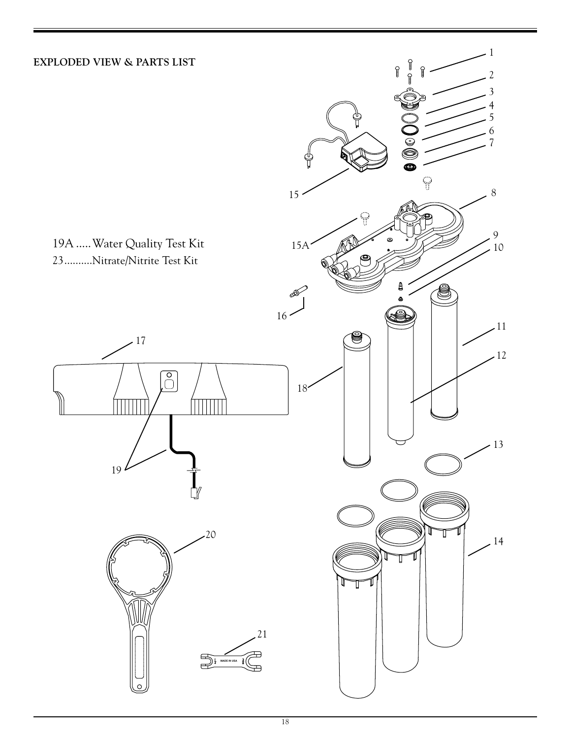## **EXPLODED VIEW & PARTS LIST**

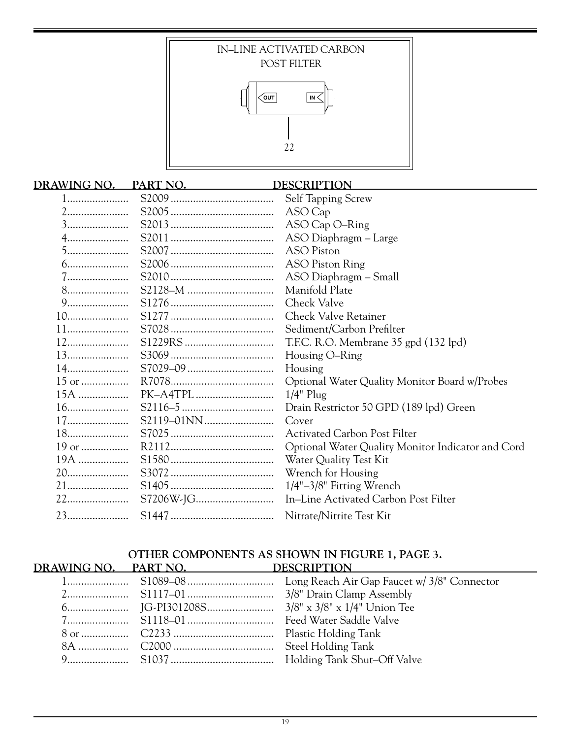

## **DRAWING NO. PART NO. DESCRIPTION** 1...................... S2009 ..................................... Self Tapping Screw 2...................... S2005 ..................................... ASO Cap 3...................... S2013 ..................................... ASO Cap O–Ring 4...................... S2011 ..................................... ASO Diaphragm – Large 5...................... S2007 ..................................... ASO Piston 6...................... S2006 ..................................... ASO Piston Ring 7...................... S2010 ..................................... ASO Diaphragm – Small 8...................... S2128–M ............................... Manifold Plate 9...................... S1276 ..................................... Check Valve 10...................... S1277 ..................................... Check Valve Retainer 11...................... S7028 ..................................... Sediment/Carbon Prefilter 12...................... S1229RS ................................ T.F.C. R.O. Membrane 35 gpd (132 lpd) 13...................... S3069 ..................................... Housing O–Ring 14...................... S7029–09 ............................... Housing 15 or ................. R7078..................................... Optional Water Quality Monitor Board w/Probes 15A .................. PK–A4TPL ............................ 1/4" Plug 16...................... S2116–5 ................................. Drain Restrictor 50 GPD (189 lpd) Green 17...................... S2119–01NN......................... Cover 18...................... S7025 ..................................... Activated Carbon Post Filter 19 or ................. R2112..................................... Optional Water Quality Monitor Indicator and Cord 19A .................. S1580 ..................................... Water Quality Test Kit 20...................... S3072 ..................................... Wrench for Housing 21...................... S1405 ..................................... 1/4"–3/8" Fitting Wrench 22...................... S7206W-JG............................ In–Line Activated Carbon Post Filter 23...................... S1447 ..................................... Nitrate/Nitrite Test Kit

#### **OTHER COMPONENTS AS SHOWN IN FIGURE 1, PAGE 3. DRAWING NO. PART NO. DESCRIPTION**